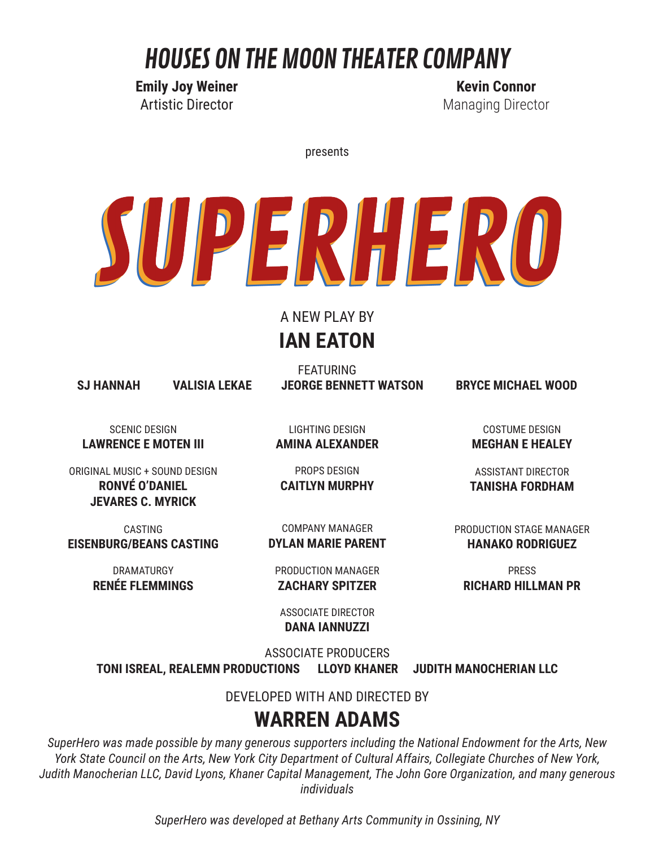## HOUSES ON THE MOON THEATER COMPANY

**Emily Joy Weiner** Artistic Director

**Kevin Connor** Managing Director

presents

# SUPERHERO

#### A NEW PLAY BY **IAN EATON**

FEATURING **SJ HANNAH VALISIA LEKAE JEORGE BENNETT WATSON BRYCE MICHAEL WOOD**

SCENIC DESIGN **LAWRENCE E MOTEN III**

ORIGINAL MUSIC + SOUND DESIGN **RONVÉ O'DANIEL JEVARES C. MYRICK**

CASTING **EISENBURG/BEANS CASTING**

> DRAMATURGY **RENÉE FLEMMINGS**

LIGHTING DESIGN **AMINA ALEXANDER**

PROPS DESIGN **CAITLYN MURPHY**

COMPANY MANAGER **DYLAN MARIE PARENT**

PRODUCTION MANAGER **ZACHARY SPITZER**

COSTUME DESIGN **MEGHAN E HEALEY**

ASSISTANT DIRECTOR **TANISHA FORDHAM**

PRODUCTION STAGE MANAGER **HANAKO RODRIGUEZ**

PRESS **RICHARD HILLMAN PR**

ASSOCIATE DIRECTOR **DANA IANNUZZI**

ASSOCIATE PRODUCERS

**TONI ISREAL, REALEMN PRODUCTIONS LLOYD KHANER JUDITH MANOCHERIAN LLC**

DEVELOPED WITH AND DIRECTED BY

#### **WARREN ADAMS**

*SuperHero was made possible by many generous supporters including the National Endowment for the Arts, New York State Council on the Arts, New York City Department of Cultural Affairs, Collegiate Churches of New York, Judith Manocherian LLC, David Lyons, Khaner Capital Management, The John Gore Organization, and many generous individuals*

*SuperHero was developed at Bethany Arts Community in Ossining, NY*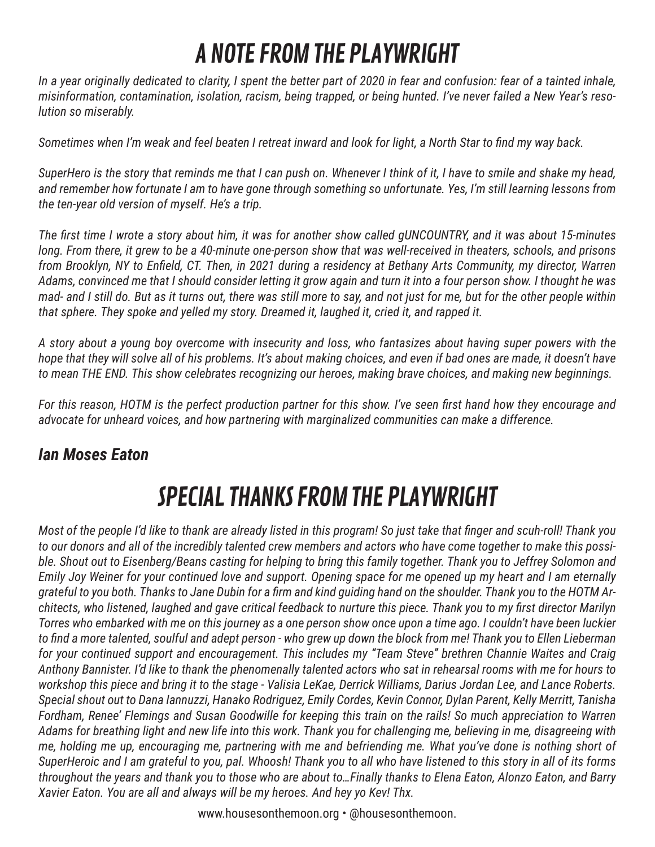## A NOTE FROM THE PLAYWRIGHT

*In a year originally dedicated to clarity, I spent the better part of 2020 in fear and confusion: fear of a tainted inhale, misinformation, contamination, isolation, racism, being trapped, or being hunted. I've never failed a New Year's resolution so miserably.*

*Sometimes when I'm weak and feel beaten I retreat inward and look for light, a North Star to find my way back.*

*SuperHero is the story that reminds me that I can push on. Whenever I think of it, I have to smile and shake my head, and remember how fortunate I am to have gone through something so unfortunate. Yes, I'm still learning lessons from the ten-year old version of myself. He's a trip.* 

*The first time I wrote a story about him, it was for another show called gUNCOUNTRY, and it was about 15-minutes long. From there, it grew to be a 40-minute one-person show that was well-received in theaters, schools, and prisons from Brooklyn, NY to Enfield, CT. Then, in 2021 during a residency at Bethany Arts Community, my director, Warren Adams, convinced me that I should consider letting it grow again and turn it into a four person show. I thought he was mad- and I still do. But as it turns out, there was still more to say, and not just for me, but for the other people within that sphere. They spoke and yelled my story. Dreamed it, laughed it, cried it, and rapped it.* 

*A story about a young boy overcome with insecurity and loss, who fantasizes about having super powers with the hope that they will solve all of his problems. It's about making choices, and even if bad ones are made, it doesn't have to mean THE END. This show celebrates recognizing our heroes, making brave choices, and making new beginnings.*

*For this reason, HOTM is the perfect production partner for this show. I've seen first hand how they encourage and advocate for unheard voices, and how partnering with marginalized communities can make a difference.*

#### *Ian Moses Eaton*

## SPECIAL THANKS FROM THE PLAYWRIGHT

*Most of the people I'd like to thank are already listed in this program! So just take that finger and scuh-roll! Thank you to our donors and all of the incredibly talented crew members and actors who have come together to make this possible. Shout out to Eisenberg/Beans casting for helping to bring this family together. Thank you to Jeffrey Solomon and Emily Joy Weiner for your continued love and support. Opening space for me opened up my heart and I am eternally grateful to you both. Thanks to Jane Dubin for a firm and kind guiding hand on the shoulder. Thank you to the HOTM Architects, who listened, laughed and gave critical feedback to nurture this piece. Thank you to my first director Marilyn Torres who embarked with me on this journey as a one person show once upon a time ago. I couldn't have been luckier to find a more talented, soulful and adept person - who grew up down the block from me! Thank you to Ellen Lieberman for your continued support and encouragement. This includes my "Team Steve" brethren Channie Waites and Craig Anthony Bannister. I'd like to thank the phenomenally talented actors who sat in rehearsal rooms with me for hours to workshop this piece and bring it to the stage - Valisia LeKae, Derrick Williams, Darius Jordan Lee, and Lance Roberts. Special shout out to Dana Iannuzzi, Hanako Rodriguez, Emily Cordes, Kevin Connor, Dylan Parent, Kelly Merritt, Tanisha Fordham, Renee' Flemings and Susan Goodwille for keeping this train on the rails! So much appreciation to Warren Adams for breathing light and new life into this work. Thank you for challenging me, believing in me, disagreeing with me, holding me up, encouraging me, partnering with me and befriending me. What you've done is nothing short of SuperHeroic and I am grateful to you, pal. Whoosh! Thank you to all who have listened to this story in all of its forms throughout the years and thank you to those who are about to…Finally thanks to Elena Eaton, Alonzo Eaton, and Barry Xavier Eaton. You are all and always will be my heroes. And hey yo Kev! Thx.*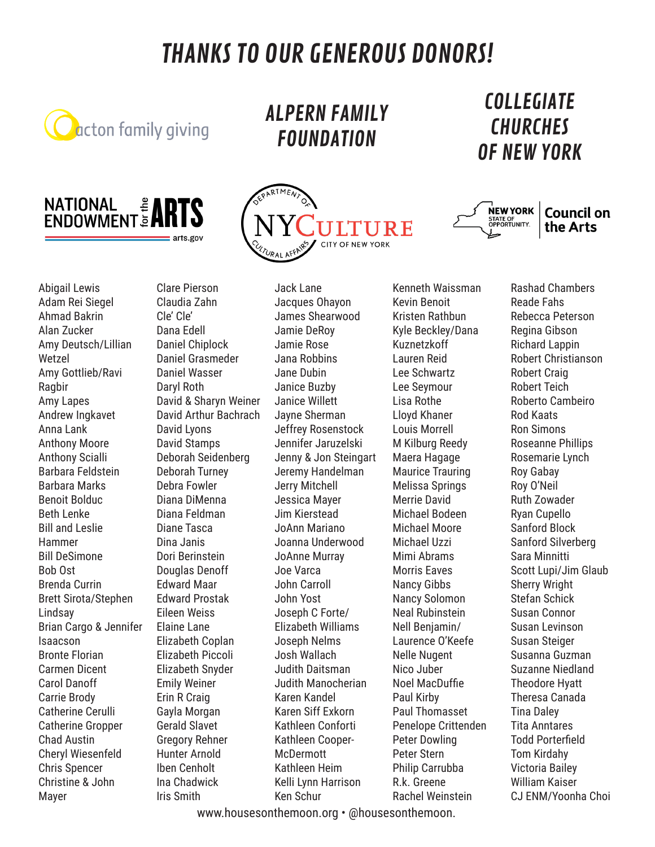### THANKS TO OUR GENEROUS DONORS!



ALPERN FAMILY FOUNDATION

## COLLEGIATE **CHURCHES**





## OF NEW YORK



Abigail Lewis Adam Rei Siegel Ahmad Bakrin Alan Zucker Amy Deutsch/Lillian Wetzel Amy Gottlieb/Ravi Ragbir Amy Lapes Andrew Ingkavet Anna Lank Anthony Moore Anthony Scialli Barbara Feldstein Barbara Marks Benoit Bolduc Beth Lenke Bill and Leslie Hammer Bill DeSimone Bob Ost Brenda Currin Brett Sirota/Stephen Lindsay Brian Cargo & Jennifer Isaacson Bronte Florian Carmen Dicent Carol Danoff Carrie Brody Catherine Cerulli Catherine Gropper Chad Austin Cheryl Wiesenfeld Chris Spencer Christine & John Mayer

Clare Pierson Claudia Zahn Cle' Cle' Dana Edell Daniel Chiplock Daniel Grasmeder Daniel Wasser Daryl Roth David & Sharyn Weiner David Arthur Bachrach David Lyons David Stamps Deborah Seidenberg Deborah Turney Debra Fowler Diana DiMenna Diana Feldman Diane Tasca Dina Janis Dori Berinstein Douglas Denoff Edward Maar Edward Prostak Eileen Weiss Elaine Lane Elizabeth Coplan Elizabeth Piccoli Elizabeth Snyder Emily Weiner Erin R Craig Gayla Morgan Gerald Slavet Gregory Rehner Hunter Arnold Iben Cenholt Ina Chadwick Iris Smith

Jack Lane Jacques Ohayon James Shearwood Jamie DeRoy Jamie Rose Jana Robbins Jane Dubin Janice Buzby Janice Willett Jayne Sherman Jeffrey Rosenstock Jennifer Jaruzelski Jenny & Jon Steingart Jeremy Handelman Jerry Mitchell Jessica Mayer Jim Kierstead JoAnn Mariano Joanna Underwood JoAnne Murray Joe Varca John Carroll John Yost Joseph C Forte/ Elizabeth Williams Joseph Nelms Josh Wallach Judith Daitsman Judith Manocherian Karen Kandel Karen Siff Exkorn Kathleen Conforti Kathleen Cooper-**McDermott** Kathleen Heim Kelli Lynn Harrison Ken Schur

Kenneth Waissman Kevin Benoit Kristen Rathbun Kyle Beckley/Dana Kuznetzkoff Lauren Reid Lee Schwartz Lee Seymour Lisa Rothe Lloyd Khaner Louis Morrell M Kilburg Reedy Maera Hagage Maurice Trauring Melissa Springs Merrie David Michael Bodeen Michael Moore Michael Uzzi Mimi Abrams Morris Eaves Nancy Gibbs Nancy Solomon Neal Rubinstein Nell Benjamin/ Laurence O'Keefe Nelle Nugent Nico Juber Noel MacDuffie Paul Kirby Paul Thomasset Penelope Crittenden Peter Dowling Peter Stern Philip Carrubba R.k. Greene Rachel Weinstein

Rashad Chambers Reade Fahs Rebecca Peterson Regina Gibson Richard Lappin Robert Christianson Robert Craig Robert Teich Roberto Cambeiro Rod Kaats Ron Simons Roseanne Phillips Rosemarie Lynch Roy Gabay Roy O'Neil Ruth Zowader Ryan Cupello Sanford Block Sanford Silverberg Sara Minnitti Scott Lupi/Jim Glaub Sherry Wright Stefan Schick Susan Connor Susan Levinson Susan Steiger Susanna Guzman Suzanne Niedland Theodore Hyatt Theresa Canada Tina Daley Tita Anntares Todd Porterfield Tom Kirdahy Victoria Bailey William Kaiser CJ ENM/Yoonha Choi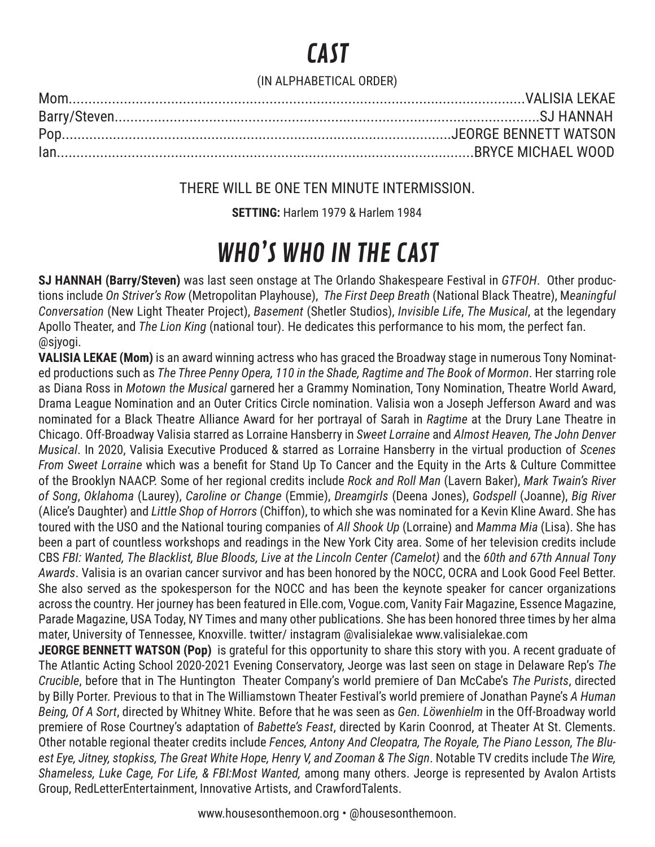## CAST

#### (IN ALPHABETICAL ORDER)

#### THERE WILL BE ONE TEN MINUTE INTERMISSION.

**SETTING:** Harlem 1979 & Harlem 1984

## WHO'S WHO IN THE CAST

**SJ HANNAH (Barry/Steven)** was last seen onstage at The Orlando Shakespeare Festival in *GTFOH*. Other productions include *On Striver's Row* (Metropolitan Playhouse), *The First Deep Breath* (National Black Theatre), M*eaningful Conversation* (New Light Theater Project), *Basement* (Shetler Studios), *Invisible Life*, *The Musical*, at the legendary Apollo Theater, and *The Lion King* (national tour). He dedicates this performance to his mom, the perfect fan. @sjyogi.

**VALISIA LEKAE (Mom)** is an award winning actress who has graced the Broadway stage in numerous Tony Nominated productions such as *The Three Penny Opera, 110 in the Shade, Ragtime and The Book of Mormon*. Her starring role as Diana Ross in *Motown the Musical* garnered her a Grammy Nomination, Tony Nomination, Theatre World Award, Drama League Nomination and an Outer Critics Circle nomination. Valisia won a Joseph Jefferson Award and was nominated for a Black Theatre Alliance Award for her portrayal of Sarah in *Ragtime* at the Drury Lane Theatre in Chicago. Off-Broadway Valisia starred as Lorraine Hansberry in *Sweet Lorraine* and *Almost Heaven, The John Denver Musical*. In 2020, Valisia Executive Produced & starred as Lorraine Hansberry in the virtual production of *Scenes From Sweet Lorraine* which was a benefit for Stand Up To Cancer and the Equity in the Arts & Culture Committee of the Brooklyn NAACP. Some of her regional credits include *Rock and Roll Man* (Lavern Baker), *Mark Twain's River of Song*, *Oklahoma* (Laurey), *Caroline or Change* (Emmie), *Dreamgirls* (Deena Jones), *Godspell* (Joanne), *Big River*  (Alice's Daughter) and *Little Shop of Horrors* (Chiffon), to which she was nominated for a Kevin Kline Award. She has toured with the USO and the National touring companies of *All Shook Up* (Lorraine) and *Mamma Mia* (Lisa). She has been a part of countless workshops and readings in the New York City area. Some of her television credits include CBS *FBI: Wanted, The Blacklist, Blue Bloods, Live at the Lincoln Center (Camelot)* and the *60th and 67th Annual Tony Awards*. Valisia is an ovarian cancer survivor and has been honored by the NOCC, OCRA and Look Good Feel Better. She also served as the spokesperson for the NOCC and has been the keynote speaker for cancer organizations across the country. Her journey has been featured in Elle.com, Vogue.com, Vanity Fair Magazine, Essence Magazine, Parade Magazine, USA Today, NY Times and many other publications. She has been honored three times by her alma mater, University of Tennessee, Knoxville. twitter/ instagram @valisialekae www.valisialekae.com

**JEORGE BENNETT WATSON (Pop)** is grateful for this opportunity to share this story with you. A recent graduate of The Atlantic Acting School 2020-2021 Evening Conservatory, Jeorge was last seen on stage in Delaware Rep's *The Crucible*, before that in The Huntington Theater Company's world premiere of Dan McCabe's *The Purists*, directed by Billy Porter. Previous to that in The Williamstown Theater Festival's world premiere of Jonathan Payne's *A Human Being, Of A Sort*, directed by Whitney White. Before that he was seen as *Gen. Löwenhielm* in the Off-Broadway world premiere of Rose Courtney's adaptation of *Babette's Feast*, directed by Karin Coonrod, at Theater At St. Clements. Other notable regional theater credits include *Fences, Antony And Cleopatra, The Royale, The Piano Lesson, The Bluest Eye, Jitney, stopkiss, The Great White Hope, Henry V, and Zooman & The Sign*. Notable TV credits include T*he Wire, Shameless, Luke Cage, For Life, & FBI:Most Wanted,* among many others. Jeorge is represented by Avalon Artists Group, RedLetterEntertainment, Innovative Artists, and CrawfordTalents.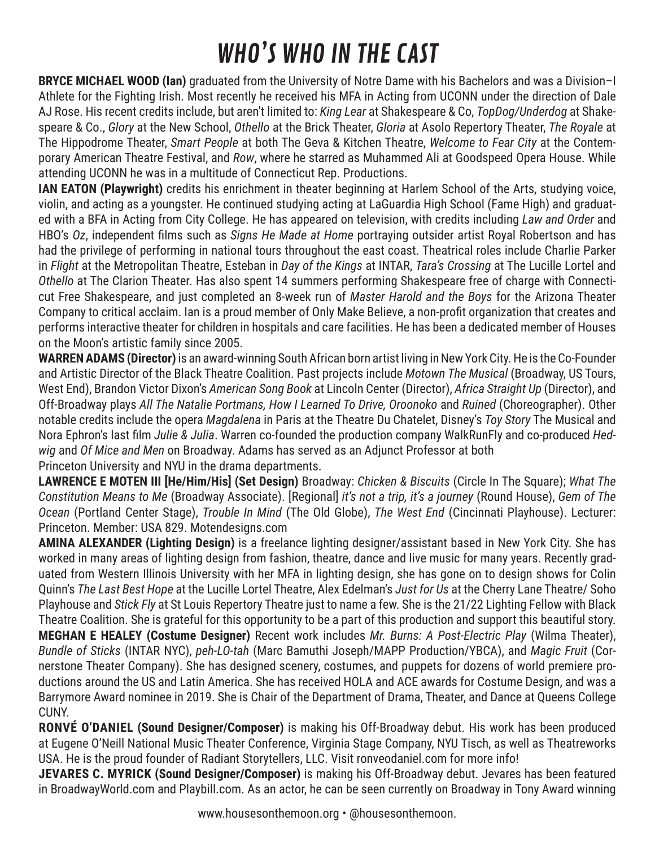## WHO'S WHO IN THE CAST

**BRYCE MICHAEL WOOD (Ian)** graduated from the University of Notre Dame with his Bachelors and was a Division–I Athlete for the Fighting Irish. Most recently he received his MFA in Acting from UCONN under the direction of Dale AJ Rose. His recent credits include, but aren't limited to: *King Lear* at Shakespeare & Co, *TopDog/Underdog* at Shakespeare & Co., *Glory* at the New School, *Othello* at the Brick Theater, *Gloria* at Asolo Repertory Theater, *The Royale* at The Hippodrome Theater, *Smart People* at both The Geva & Kitchen Theatre, *Welcome to Fear City* at the Contemporary American Theatre Festival, and *Row*, where he starred as Muhammed Ali at Goodspeed Opera House. While attending UCONN he was in a multitude of Connecticut Rep. Productions.

**IAN EATON (Playwright)** credits his enrichment in theater beginning at Harlem School of the Arts, studying voice, violin, and acting as a youngster. He continued studying acting at LaGuardia High School (Fame High) and graduated with a BFA in Acting from City College. He has appeared on television, with credits including *Law and Order* and HBO's *Oz*, independent films such as *Signs He Made at Home* portraying outsider artist Royal Robertson and has had the privilege of performing in national tours throughout the east coast. Theatrical roles include Charlie Parker in *Flight* at the Metropolitan Theatre, Esteban in *Day of the Kings* at INTAR, *Tara's Crossing* at The Lucille Lortel and *Othello* at The Clarion Theater. Has also spent 14 summers performing Shakespeare free of charge with Connecticut Free Shakespeare, and just completed an 8-week run of *Master Harold and the Boys* for the Arizona Theater Company to critical acclaim. Ian is a proud member of Only Make Believe, a non-profit organization that creates and performs interactive theater for children in hospitals and care facilities. He has been a dedicated member of Houses on the Moon's artistic family since 2005.

**WARREN ADAMS (Director)** is an award-winning South African born artist living in New York City. He is the Co-Founder and Artistic Director of the Black Theatre Coalition. Past projects include *Motown The Musical* (Broadway, US Tours, West End), Brandon Victor Dixon's *American Song Book* at Lincoln Center (Director), *Africa Straight Up* (Director), and Off-Broadway plays *All The Natalie Portmans, How I Learned To Drive, Oroonoko* and *Ruined* (Choreographer). Other notable credits include the opera *Magdalena* in Paris at the Theatre Du Chatelet, Disney's *Toy Story* The Musical and Nora Ephron's last film *Julie & Julia*. Warren co-founded the production company WalkRunFly and co-produced *Hedwig* and *Of Mice and Men* on Broadway. Adams has served as an Adjunct Professor at both Princeton University and NYU in the drama departments.

**LAWRENCE E MOTEN III [He/Him/His] (Set Design)** Broadway: *Chicken & Biscuits* (Circle In The Square); *What The Constitution Means to Me* (Broadway Associate). [Regional] *it's not a trip, it's a journey* (Round House), *Gem of The Ocean* (Portland Center Stage), *Trouble In Mind* (The Old Globe), *The West End* (Cincinnati Playhouse). Lecturer: Princeton. Member: USA 829. Motendesigns.com

**AMINA ALEXANDER (Lighting Design)** is a freelance lighting designer/assistant based in New York City. She has worked in many areas of lighting design from fashion, theatre, dance and live music for many years. Recently graduated from Western Illinois University with her MFA in lighting design, she has gone on to design shows for Colin Quinn's *The Last Best Hope* at the Lucille Lortel Theatre, Alex Edelman's *Just for Us* at the Cherry Lane Theatre/ Soho Playhouse and *Stick Fly* at St Louis Repertory Theatre just to name a few. She is the 21/22 Lighting Fellow with Black Theatre Coalition. She is grateful for this opportunity to be a part of this production and support this beautiful story. **MEGHAN E HEALEY (Costume Designer)** Recent work includes *Mr. Burns: A Post-Electric Play* (Wilma Theater), *Bundle of Sticks* (INTAR NYC), *peh-LO-tah* (Marc Bamuthi Joseph/MAPP Production/YBCA), and *Magic Fruit* (Cornerstone Theater Company). She has designed scenery, costumes, and puppets for dozens of world premiere productions around the US and Latin America. She has received HOLA and ACE awards for Costume Design, and was a Barrymore Award nominee in 2019. She is Chair of the Department of Drama, Theater, and Dance at Queens College CUNY.

**RONVÉ O'DANIEL (Sound Designer/Composer)** is making his Off-Broadway debut. His work has been produced at Eugene O'Neill National Music Theater Conference, Virginia Stage Company, NYU Tisch, as well as Theatreworks USA. He is the proud founder of Radiant Storytellers, LLC. Visit ronveodaniel.com for more info!

**JEVARES C. MYRICK (Sound Designer/Composer)** is making his Off-Broadway debut. Jevares has been featured in BroadwayWorld.com and Playbill.com. As an actor, he can be seen currently on Broadway in Tony Award winning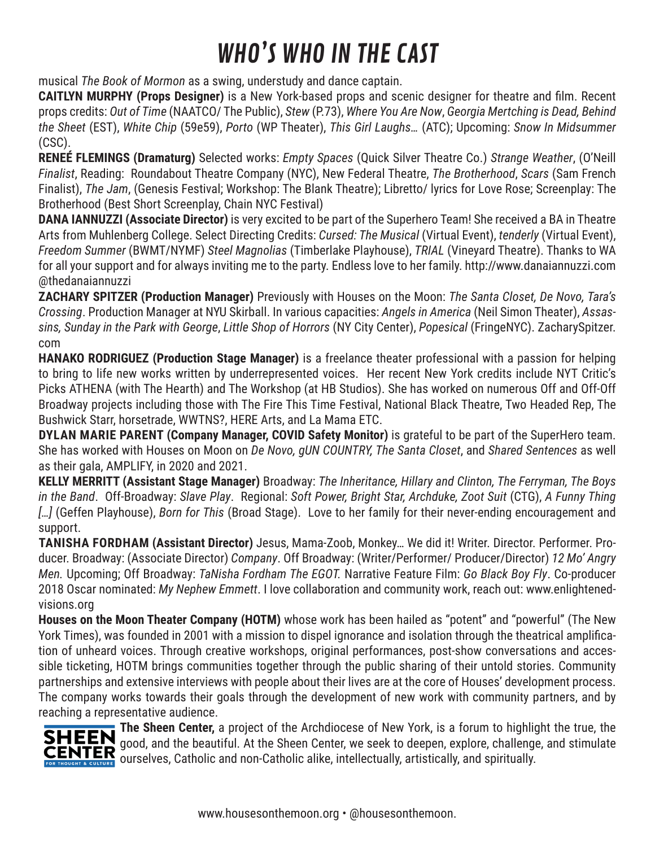## WHO'S WHO IN THE CAST

musical *The Book of Mormon* as a swing, understudy and dance captain.

**CAITLYN MURPHY (Props Designer)** is a New York-based props and scenic designer for theatre and film. Recent props credits: *Out of Time* (NAATCO/ The Public), *Stew* (P.73), *Where You Are Now*, *Georgia Mertching is Dead, Behind the Sheet* (EST), *White Chip* (59e59), *Porto* (WP Theater), *This Girl Laughs…* (ATC); Upcoming: *Snow In Midsummer* (CSC).

**RENEÉ FLEMINGS (Dramaturg)** Selected works: *Empty Spaces* (Quick Silver Theatre Co.) *Strange Weather*, (O'Neill *Finalist*, Reading: Roundabout Theatre Company (NYC), New Federal Theatre, *The Brotherhood*, *Scars* (Sam French Finalist), *The Jam*, (Genesis Festival; Workshop: The Blank Theatre); Libretto/ lyrics for Love Rose; Screenplay: The Brotherhood (Best Short Screenplay, Chain NYC Festival)

**DANA IANNUZZI (Associate Director)** is very excited to be part of the Superhero Team! She received a BA in Theatre Arts from Muhlenberg College. Select Directing Credits: *Cursed: The Musical* (Virtual Event), *tenderly* (Virtual Event), *Freedom Summer* (BWMT/NYMF) *Steel Magnolias* (Timberlake Playhouse), *TRIAL* (Vineyard Theatre). Thanks to WA for all your support and for always inviting me to the party. Endless love to her family. http://www.danaiannuzzi.com @thedanaiannuzzi

**ZACHARY SPITZER (Production Manager)** Previously with Houses on the Moon: *The Santa Closet, De Novo, Tara's Crossing*. Production Manager at NYU Skirball. In various capacities: *Angels in America* (Neil Simon Theater), *Assassins, Sunday in the Park with George*, *Little Shop of Horrors* (NY City Center), *Popesical* (FringeNYC). ZacharySpitzer. com

**HANAKO RODRIGUEZ (Production Stage Manager)** is a freelance theater professional with a passion for helping to bring to life new works written by underrepresented voices. Her recent New York credits include NYT Critic's Picks ATHENA (with The Hearth) and The Workshop (at HB Studios). She has worked on numerous Off and Off-Off Broadway projects including those with The Fire This Time Festival, National Black Theatre, Two Headed Rep, The Bushwick Starr, horsetrade, WWTNS?, HERE Arts, and La Mama ETC.

**DYLAN MARIE PARENT (Company Manager, COVID Safety Monitor)** is grateful to be part of the SuperHero team. She has worked with Houses on Moon on *De Novo, gUN COUNTRY, The Santa Closet*, and *Shared Sentences* as well as their gala, AMPLIFY, in 2020 and 2021.

**KELLY MERRITT (Assistant Stage Manager)** Broadway: *The Inheritance, Hillary and Clinton, The Ferryman, The Boys in the Band*. Off-Broadway: *Slave Play*. Regional: *Soft Power, Bright Star, Archduke, Zoot Suit* (CTG), *A Funny Thing […]* (Geffen Playhouse), *Born for This* (Broad Stage). Love to her family for their never-ending encouragement and support.

**TANISHA FORDHAM (Assistant Director)** Jesus, Mama-Zoob, Monkey… We did it! Writer. Director. Performer. Producer. Broadway: (Associate Director) *Company*. Off Broadway: (Writer/Performer/ Producer/Director) *12 Mo' Angry Men.* Upcoming; Off Broadway: *TaNisha Fordham The EGOT.* Narrative Feature Film: *Go Black Boy Fly*. Co-producer 2018 Oscar nominated: *My Nephew Emmett*. I love collaboration and community work, reach out: www.enlightenedvisions.org

**Houses on the Moon Theater Company (HOTM)** whose work has been hailed as "potent" and "powerful" (The New York Times), was founded in 2001 with a mission to dispel ignorance and isolation through the theatrical amplification of unheard voices. Through creative workshops, original performances, post-show conversations and accessible ticketing, HOTM brings communities together through the public sharing of their untold stories. Community partnerships and extensive interviews with people about their lives are at the core of Houses' development process. The company works towards their goals through the development of new work with community partners, and by reaching a representative audience.



**The Sheen Center,** a project of the Archdiocese of New York, is a forum to highlight the true, the good, and the beautiful. At the Sheen Center, we seek to deepen, explore, challenge, and stimulate **CENTER** good, and the beatholic and non-Catholic alike, intellectually, artistically, and spiritually.